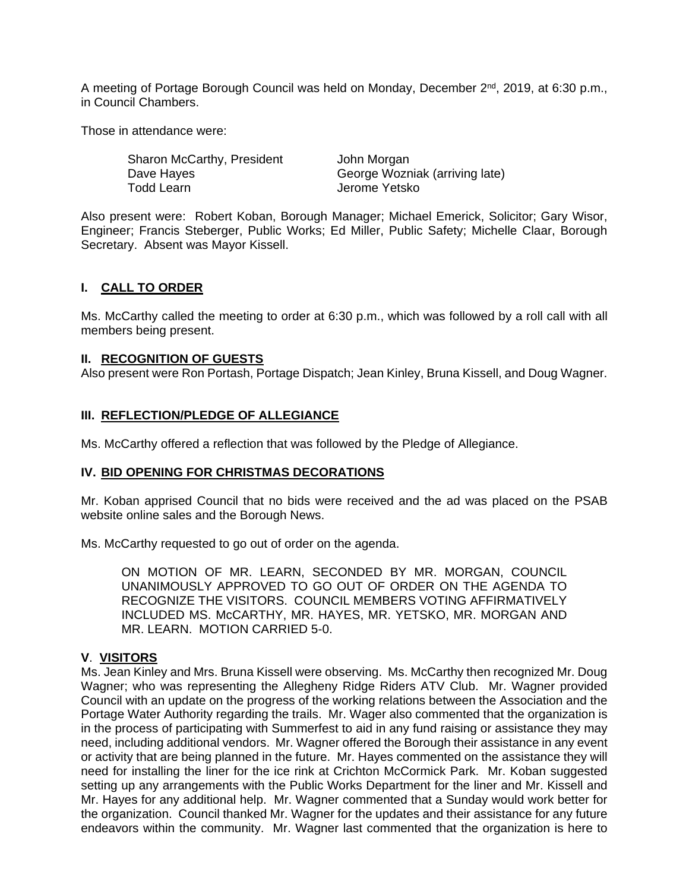A meeting of Portage Borough Council was held on Monday, December 2<sup>nd</sup>, 2019, at 6:30 p.m., in Council Chambers.

Those in attendance were:

| Sharon McCarthy, President | John Morgan                    |
|----------------------------|--------------------------------|
| Dave Hayes                 | George Wozniak (arriving late) |
| Todd Learn                 | Jerome Yetsko                  |

Also present were: Robert Koban, Borough Manager; Michael Emerick, Solicitor; Gary Wisor, Engineer; Francis Steberger, Public Works; Ed Miller, Public Safety; Michelle Claar, Borough Secretary. Absent was Mayor Kissell.

# **I. CALL TO ORDER**

Ms. McCarthy called the meeting to order at 6:30 p.m., which was followed by a roll call with all members being present.

#### **II. RECOGNITION OF GUESTS**

Also present were Ron Portash, Portage Dispatch; Jean Kinley, Bruna Kissell, and Doug Wagner.

#### **III. REFLECTION/PLEDGE OF ALLEGIANCE**

Ms. McCarthy offered a reflection that was followed by the Pledge of Allegiance.

#### **IV. BID OPENING FOR CHRISTMAS DECORATIONS**

Mr. Koban apprised Council that no bids were received and the ad was placed on the PSAB website online sales and the Borough News.

Ms. McCarthy requested to go out of order on the agenda.

ON MOTION OF MR. LEARN, SECONDED BY MR. MORGAN, COUNCIL UNANIMOUSLY APPROVED TO GO OUT OF ORDER ON THE AGENDA TO RECOGNIZE THE VISITORS. COUNCIL MEMBERS VOTING AFFIRMATIVELY INCLUDED MS. McCARTHY, MR. HAYES, MR. YETSKO, MR. MORGAN AND MR. LEARN. MOTION CARRIED 5-0.

#### **V**. **VISITORS**

Ms. Jean Kinley and Mrs. Bruna Kissell were observing. Ms. McCarthy then recognized Mr. Doug Wagner; who was representing the Allegheny Ridge Riders ATV Club. Mr. Wagner provided Council with an update on the progress of the working relations between the Association and the Portage Water Authority regarding the trails. Mr. Wager also commented that the organization is in the process of participating with Summerfest to aid in any fund raising or assistance they may need, including additional vendors. Mr. Wagner offered the Borough their assistance in any event or activity that are being planned in the future. Mr. Hayes commented on the assistance they will need for installing the liner for the ice rink at Crichton McCormick Park. Mr. Koban suggested setting up any arrangements with the Public Works Department for the liner and Mr. Kissell and Mr. Hayes for any additional help. Mr. Wagner commented that a Sunday would work better for the organization. Council thanked Mr. Wagner for the updates and their assistance for any future endeavors within the community. Mr. Wagner last commented that the organization is here to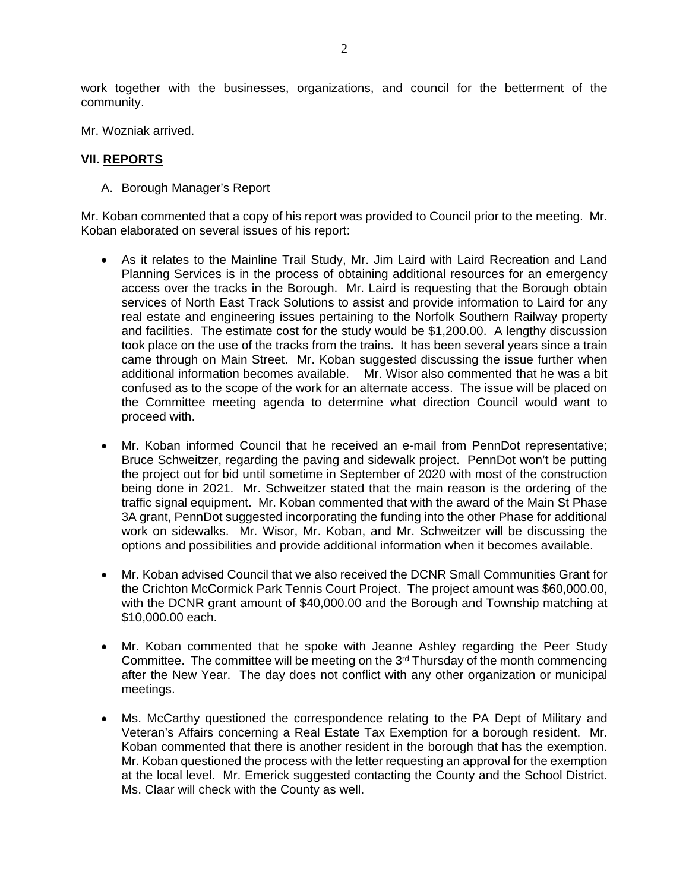work together with the businesses, organizations, and council for the betterment of the community.

Mr. Wozniak arrived.

## **VII. REPORTS**

#### A. Borough Manager's Report

Mr. Koban commented that a copy of his report was provided to Council prior to the meeting. Mr. Koban elaborated on several issues of his report:

- As it relates to the Mainline Trail Study, Mr. Jim Laird with Laird Recreation and Land Planning Services is in the process of obtaining additional resources for an emergency access over the tracks in the Borough. Mr. Laird is requesting that the Borough obtain services of North East Track Solutions to assist and provide information to Laird for any real estate and engineering issues pertaining to the Norfolk Southern Railway property and facilities. The estimate cost for the study would be \$1,200.00. A lengthy discussion took place on the use of the tracks from the trains. It has been several years since a train came through on Main Street. Mr. Koban suggested discussing the issue further when additional information becomes available. Mr. Wisor also commented that he was a bit confused as to the scope of the work for an alternate access. The issue will be placed on the Committee meeting agenda to determine what direction Council would want to proceed with.
- Mr. Koban informed Council that he received an e-mail from PennDot representative; Bruce Schweitzer, regarding the paving and sidewalk project. PennDot won't be putting the project out for bid until sometime in September of 2020 with most of the construction being done in 2021. Mr. Schweitzer stated that the main reason is the ordering of the traffic signal equipment. Mr. Koban commented that with the award of the Main St Phase 3A grant, PennDot suggested incorporating the funding into the other Phase for additional work on sidewalks. Mr. Wisor, Mr. Koban, and Mr. Schweitzer will be discussing the options and possibilities and provide additional information when it becomes available.
- Mr. Koban advised Council that we also received the DCNR Small Communities Grant for the Crichton McCormick Park Tennis Court Project. The project amount was \$60,000.00, with the DCNR grant amount of \$40,000.00 and the Borough and Township matching at \$10,000.00 each.
- Mr. Koban commented that he spoke with Jeanne Ashley regarding the Peer Study Committee. The committee will be meeting on the  $3<sup>rd</sup>$  Thursday of the month commencing after the New Year. The day does not conflict with any other organization or municipal meetings.
- Ms. McCarthy questioned the correspondence relating to the PA Dept of Military and Veteran's Affairs concerning a Real Estate Tax Exemption for a borough resident. Mr. Koban commented that there is another resident in the borough that has the exemption. Mr. Koban questioned the process with the letter requesting an approval for the exemption at the local level. Mr. Emerick suggested contacting the County and the School District. Ms. Claar will check with the County as well.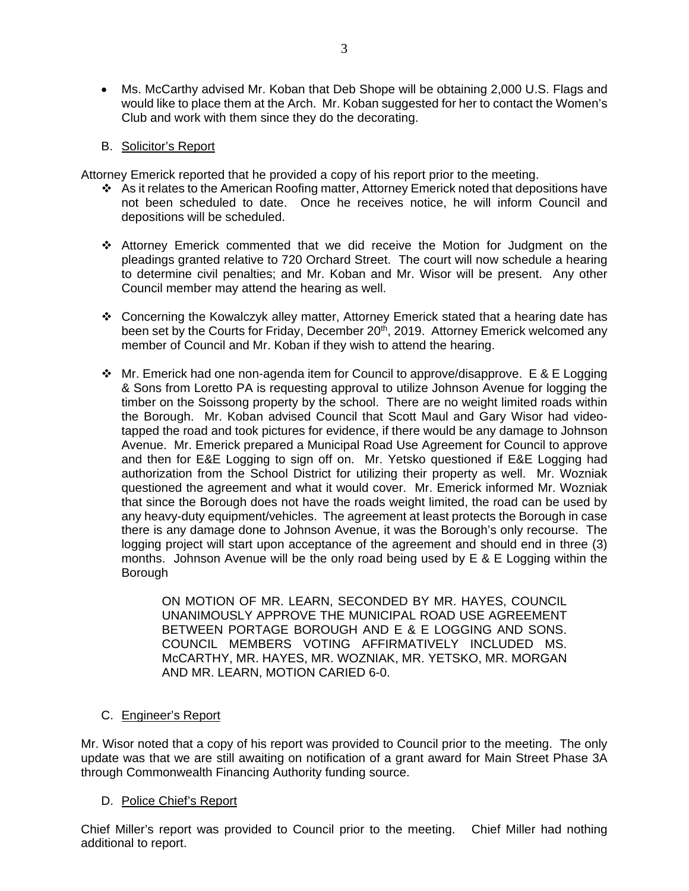- Ms. McCarthy advised Mr. Koban that Deb Shope will be obtaining 2,000 U.S. Flags and would like to place them at the Arch. Mr. Koban suggested for her to contact the Women's Club and work with them since they do the decorating.
- B. Solicitor's Report

Attorney Emerick reported that he provided a copy of his report prior to the meeting.

- As it relates to the American Roofing matter, Attorney Emerick noted that depositions have not been scheduled to date. Once he receives notice, he will inform Council and depositions will be scheduled.
- Attorney Emerick commented that we did receive the Motion for Judgment on the pleadings granted relative to 720 Orchard Street. The court will now schedule a hearing to determine civil penalties; and Mr. Koban and Mr. Wisor will be present. Any other Council member may attend the hearing as well.
- Concerning the Kowalczyk alley matter, Attorney Emerick stated that a hearing date has been set by the Courts for Friday, December 20<sup>th</sup>, 2019. Attorney Emerick welcomed any member of Council and Mr. Koban if they wish to attend the hearing.
- $\cdot \cdot$  Mr. Emerick had one non-agenda item for Council to approve/disapprove. E & E Logging & Sons from Loretto PA is requesting approval to utilize Johnson Avenue for logging the timber on the Soissong property by the school. There are no weight limited roads within the Borough. Mr. Koban advised Council that Scott Maul and Gary Wisor had videotapped the road and took pictures for evidence, if there would be any damage to Johnson Avenue. Mr. Emerick prepared a Municipal Road Use Agreement for Council to approve and then for E&E Logging to sign off on. Mr. Yetsko questioned if E&E Logging had authorization from the School District for utilizing their property as well. Mr. Wozniak questioned the agreement and what it would cover. Mr. Emerick informed Mr. Wozniak that since the Borough does not have the roads weight limited, the road can be used by any heavy-duty equipment/vehicles. The agreement at least protects the Borough in case there is any damage done to Johnson Avenue, it was the Borough's only recourse. The logging project will start upon acceptance of the agreement and should end in three (3) months. Johnson Avenue will be the only road being used by E & E Logging within the Borough

ON MOTION OF MR. LEARN, SECONDED BY MR. HAYES, COUNCIL UNANIMOUSLY APPROVE THE MUNICIPAL ROAD USE AGREEMENT BETWEEN PORTAGE BOROUGH AND E & E LOGGING AND SONS. COUNCIL MEMBERS VOTING AFFIRMATIVELY INCLUDED MS. McCARTHY, MR. HAYES, MR. WOZNIAK, MR. YETSKO, MR. MORGAN AND MR. LEARN, MOTION CARIED 6-0.

C. Engineer's Report

Mr. Wisor noted that a copy of his report was provided to Council prior to the meeting. The only update was that we are still awaiting on notification of a grant award for Main Street Phase 3A through Commonwealth Financing Authority funding source.

#### D. Police Chief's Report

Chief Miller's report was provided to Council prior to the meeting. Chief Miller had nothing additional to report.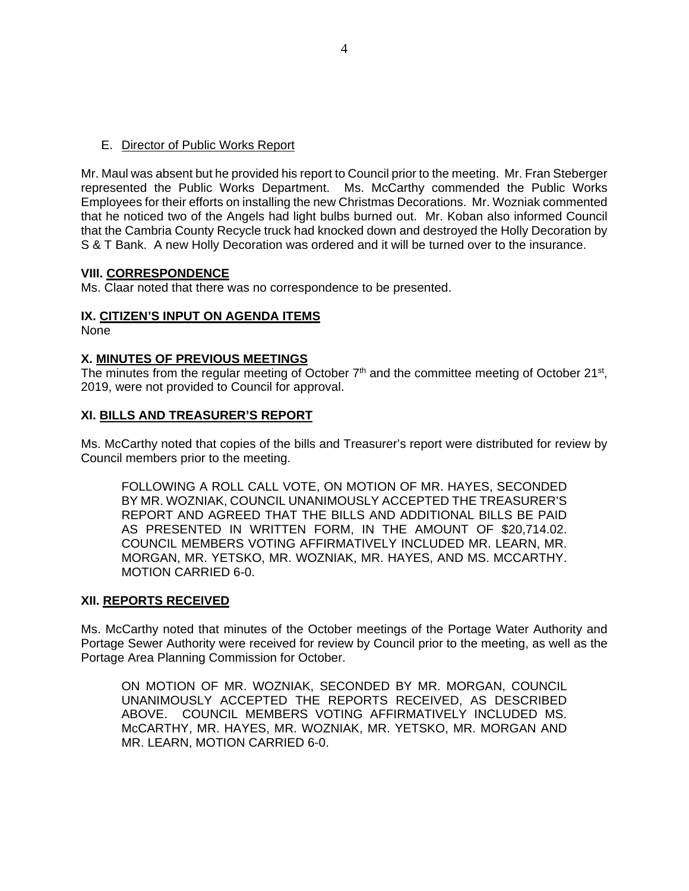## E. Director of Public Works Report

Mr. Maul was absent but he provided his report to Council prior to the meeting. Mr. Fran Steberger represented the Public Works Department. Ms. McCarthy commended the Public Works Employees for their efforts on installing the new Christmas Decorations. Mr. Wozniak commented that he noticed two of the Angels had light bulbs burned out. Mr. Koban also informed Council that the Cambria County Recycle truck had knocked down and destroyed the Holly Decoration by S & T Bank. A new Holly Decoration was ordered and it will be turned over to the insurance.

#### **VIII. CORRESPONDENCE**

Ms. Claar noted that there was no correspondence to be presented.

# **IX. CITIZEN'S INPUT ON AGENDA ITEMS**

None

# **X. MINUTES OF PREVIOUS MEETINGS**

The minutes from the regular meeting of October  $7<sup>th</sup>$  and the committee meeting of October 21<sup>st</sup>, 2019, were not provided to Council for approval.

# **XI. BILLS AND TREASURER'S REPORT**

Ms. McCarthy noted that copies of the bills and Treasurer's report were distributed for review by Council members prior to the meeting.

FOLLOWING A ROLL CALL VOTE, ON MOTION OF MR. HAYES, SECONDED BY MR. WOZNIAK, COUNCIL UNANIMOUSLY ACCEPTED THE TREASURER'S REPORT AND AGREED THAT THE BILLS AND ADDITIONAL BILLS BE PAID AS PRESENTED IN WRITTEN FORM, IN THE AMOUNT OF \$20,714.02. COUNCIL MEMBERS VOTING AFFIRMATIVELY INCLUDED MR. LEARN, MR. MORGAN, MR. YETSKO, MR. WOZNIAK, MR. HAYES, AND MS. MCCARTHY. MOTION CARRIED 6-0.

#### **XII. REPORTS RECEIVED**

Ms. McCarthy noted that minutes of the October meetings of the Portage Water Authority and Portage Sewer Authority were received for review by Council prior to the meeting, as well as the Portage Area Planning Commission for October.

ON MOTION OF MR. WOZNIAK, SECONDED BY MR. MORGAN, COUNCIL UNANIMOUSLY ACCEPTED THE REPORTS RECEIVED, AS DESCRIBED ABOVE. COUNCIL MEMBERS VOTING AFFIRMATIVELY INCLUDED MS. McCARTHY, MR. HAYES, MR. WOZNIAK, MR. YETSKO, MR. MORGAN AND MR. LEARN, MOTION CARRIED 6-0.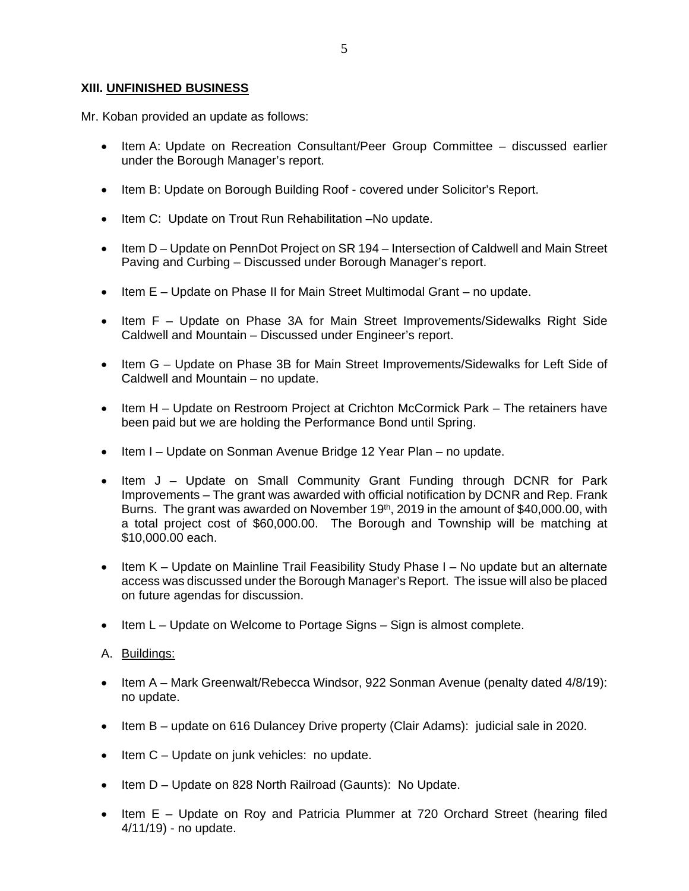# **XIII. UNFINISHED BUSINESS**

Mr. Koban provided an update as follows:

- Item A: Update on Recreation Consultant/Peer Group Committee discussed earlier under the Borough Manager's report.
- Item B: Update on Borough Building Roof covered under Solicitor's Report.
- Item C: Update on Trout Run Rehabilitation -No update.
- Item D Update on PennDot Project on SR 194 Intersection of Caldwell and Main Street Paving and Curbing – Discussed under Borough Manager's report.
- Item E Update on Phase II for Main Street Multimodal Grant no update.
- Item F Update on Phase 3A for Main Street Improvements/Sidewalks Right Side Caldwell and Mountain – Discussed under Engineer's report.
- Item G Update on Phase 3B for Main Street Improvements/Sidewalks for Left Side of Caldwell and Mountain – no update.
- Item H Update on Restroom Project at Crichton McCormick Park The retainers have been paid but we are holding the Performance Bond until Spring.
- Item I Update on Sonman Avenue Bridge 12 Year Plan no update.
- Item J Update on Small Community Grant Funding through DCNR for Park Improvements – The grant was awarded with official notification by DCNR and Rep. Frank Burns. The grant was awarded on November 19<sup>th</sup>, 2019 in the amount of \$40,000.00, with a total project cost of \$60,000.00. The Borough and Township will be matching at \$10,000.00 each.
- $\bullet$  Item K Update on Mainline Trail Feasibility Study Phase I No update but an alternate access was discussed under the Borough Manager's Report. The issue will also be placed on future agendas for discussion.
- Item L Update on Welcome to Portage Signs Sign is almost complete.
- A. Buildings:
- Item A Mark Greenwalt/Rebecca Windsor, 922 Sonman Avenue (penalty dated 4/8/19): no update.
- Item B update on 616 Dulancey Drive property (Clair Adams): judicial sale in 2020.
- $\bullet$  Item C Update on junk vehicles: no update.
- Item D Update on 828 North Railroad (Gaunts): No Update.
- Item E Update on Roy and Patricia Plummer at 720 Orchard Street (hearing filed 4/11/19) - no update.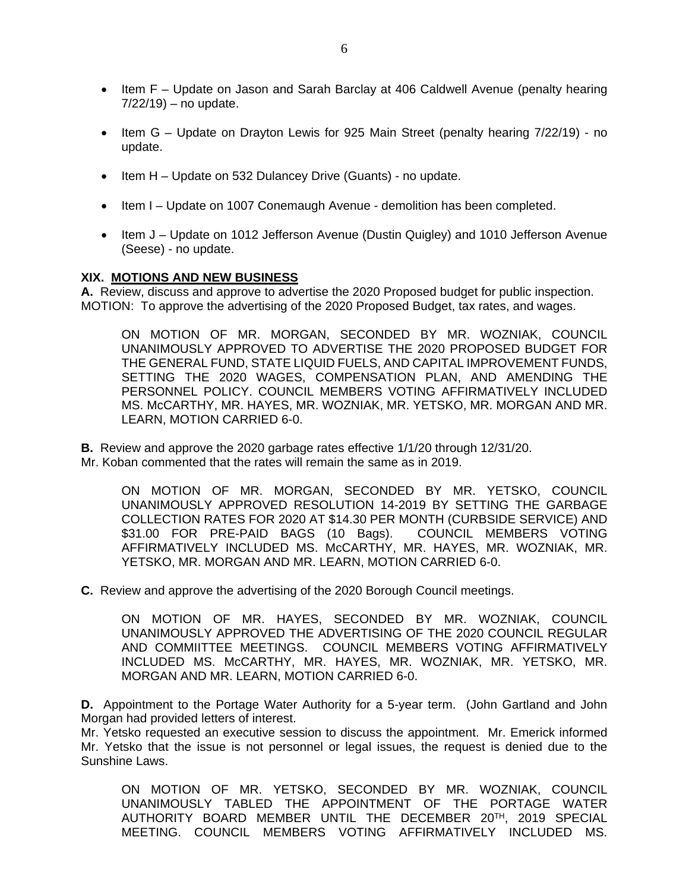- Item F Update on Jason and Sarah Barclay at 406 Caldwell Avenue (penalty hearing  $7/22/19$ ) – no update.
- Item G Update on Drayton Lewis for 925 Main Street (penalty hearing 7/22/19) no update.
- $\bullet$  Item H Update on 532 Dulancey Drive (Guants) no update.
- Item I Update on 1007 Conemaugh Avenue demolition has been completed.
- Item J Update on 1012 Jefferson Avenue (Dustin Quigley) and 1010 Jefferson Avenue (Seese) - no update.

#### **XIX. MOTIONS AND NEW BUSINESS**

**A.** Review, discuss and approve to advertise the 2020 Proposed budget for public inspection. MOTION: To approve the advertising of the 2020 Proposed Budget, tax rates, and wages.

ON MOTION OF MR. MORGAN, SECONDED BY MR. WOZNIAK, COUNCIL UNANIMOUSLY APPROVED TO ADVERTISE THE 2020 PROPOSED BUDGET FOR THE GENERAL FUND, STATE LIQUID FUELS, AND CAPITAL IMPROVEMENT FUNDS, SETTING THE 2020 WAGES, COMPENSATION PLAN, AND AMENDING THE PERSONNEL POLICY. COUNCIL MEMBERS VOTING AFFIRMATIVELY INCLUDED MS. McCARTHY, MR. HAYES, MR. WOZNIAK, MR. YETSKO, MR. MORGAN AND MR. LEARN, MOTION CARRIED 6-0.

**B.** Review and approve the 2020 garbage rates effective 1/1/20 through 12/31/20. Mr. Koban commented that the rates will remain the same as in 2019.

ON MOTION OF MR. MORGAN, SECONDED BY MR. YETSKO, COUNCIL UNANIMOUSLY APPROVED RESOLUTION 14-2019 BY SETTING THE GARBAGE COLLECTION RATES FOR 2020 AT \$14.30 PER MONTH (CURBSIDE SERVICE) AND \$31.00 FOR PRE-PAID BAGS (10 Bags). COUNCIL MEMBERS VOTING AFFIRMATIVELY INCLUDED MS. McCARTHY, MR. HAYES, MR. WOZNIAK, MR. YETSKO, MR. MORGAN AND MR. LEARN, MOTION CARRIED 6-0.

**C.** Review and approve the advertising of the 2020 Borough Council meetings.

ON MOTION OF MR. HAYES, SECONDED BY MR. WOZNIAK, COUNCIL UNANIMOUSLY APPROVED THE ADVERTISING OF THE 2020 COUNCIL REGULAR AND COMMIITTEE MEETINGS. COUNCIL MEMBERS VOTING AFFIRMATIVELY INCLUDED MS. McCARTHY, MR. HAYES, MR. WOZNIAK, MR. YETSKO, MR. MORGAN AND MR. LEARN, MOTION CARRIED 6-0.

**D.** Appointment to the Portage Water Authority for a 5-year term. (John Gartland and John Morgan had provided letters of interest.

Mr. Yetsko requested an executive session to discuss the appointment. Mr. Emerick informed Mr. Yetsko that the issue is not personnel or legal issues, the request is denied due to the Sunshine Laws.

ON MOTION OF MR. YETSKO, SECONDED BY MR. WOZNIAK, COUNCIL UNANIMOUSLY TABLED THE APPOINTMENT OF THE PORTAGE WATER AUTHORITY BOARD MEMBER UNTIL THE DECEMBER 20TH, 2019 SPECIAL MEETING. COUNCIL MEMBERS VOTING AFFIRMATIVELY INCLUDED MS.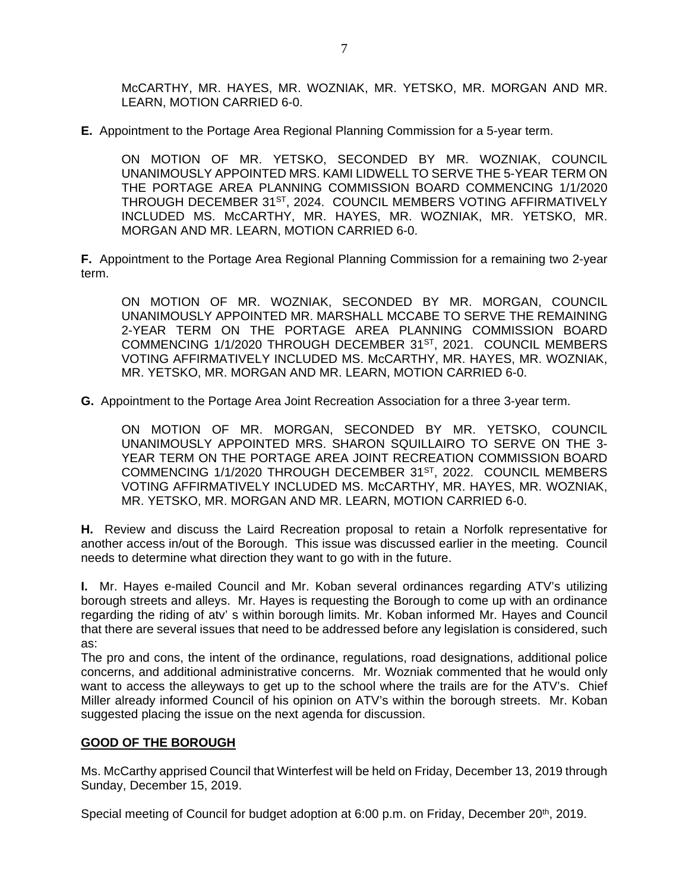McCARTHY, MR. HAYES, MR. WOZNIAK, MR. YETSKO, MR. MORGAN AND MR. LEARN, MOTION CARRIED 6-0.

**E.** Appointment to the Portage Area Regional Planning Commission for a 5-year term.

ON MOTION OF MR. YETSKO, SECONDED BY MR. WOZNIAK, COUNCIL UNANIMOUSLY APPOINTED MRS. KAMI LIDWELL TO SERVE THE 5-YEAR TERM ON THE PORTAGE AREA PLANNING COMMISSION BOARD COMMENCING 1/1/2020 THROUGH DECEMBER 31ST, 2024. COUNCIL MEMBERS VOTING AFFIRMATIVELY INCLUDED MS. McCARTHY, MR. HAYES, MR. WOZNIAK, MR. YETSKO, MR. MORGAN AND MR. LEARN, MOTION CARRIED 6-0.

**F.** Appointment to the Portage Area Regional Planning Commission for a remaining two 2-year term.

ON MOTION OF MR. WOZNIAK, SECONDED BY MR. MORGAN, COUNCIL UNANIMOUSLY APPOINTED MR. MARSHALL MCCABE TO SERVE THE REMAINING 2-YEAR TERM ON THE PORTAGE AREA PLANNING COMMISSION BOARD COMMENCING 1/1/2020 THROUGH DECEMBER 31ST, 2021. COUNCIL MEMBERS VOTING AFFIRMATIVELY INCLUDED MS. McCARTHY, MR. HAYES, MR. WOZNIAK, MR. YETSKO, MR. MORGAN AND MR. LEARN, MOTION CARRIED 6-0.

**G.** Appointment to the Portage Area Joint Recreation Association for a three 3-year term.

ON MOTION OF MR. MORGAN, SECONDED BY MR. YETSKO, COUNCIL UNANIMOUSLY APPOINTED MRS. SHARON SQUILLAIRO TO SERVE ON THE 3- YEAR TERM ON THE PORTAGE AREA JOINT RECREATION COMMISSION BOARD COMMENCING 1/1/2020 THROUGH DECEMBER 31<sup>ST</sup>, 2022. COUNCIL MEMBERS VOTING AFFIRMATIVELY INCLUDED MS. McCARTHY, MR. HAYES, MR. WOZNIAK, MR. YETSKO, MR. MORGAN AND MR. LEARN, MOTION CARRIED 6-0.

**H.** Review and discuss the Laird Recreation proposal to retain a Norfolk representative for another access in/out of the Borough. This issue was discussed earlier in the meeting. Council needs to determine what direction they want to go with in the future.

**I.** Mr. Hayes e-mailed Council and Mr. Koban several ordinances regarding ATV's utilizing borough streets and alleys. Mr. Hayes is requesting the Borough to come up with an ordinance regarding the riding of atv' s within borough limits. Mr. Koban informed Mr. Hayes and Council that there are several issues that need to be addressed before any legislation is considered, such as:

The pro and cons, the intent of the ordinance, regulations, road designations, additional police concerns, and additional administrative concerns. Mr. Wozniak commented that he would only want to access the alleyways to get up to the school where the trails are for the ATV's. Chief Miller already informed Council of his opinion on ATV's within the borough streets. Mr. Koban suggested placing the issue on the next agenda for discussion.

#### **GOOD OF THE BOROUGH**

Ms. McCarthy apprised Council that Winterfest will be held on Friday, December 13, 2019 through Sunday, December 15, 2019.

Special meeting of Council for budget adoption at 6:00 p.m. on Friday, December 20<sup>th</sup>, 2019.